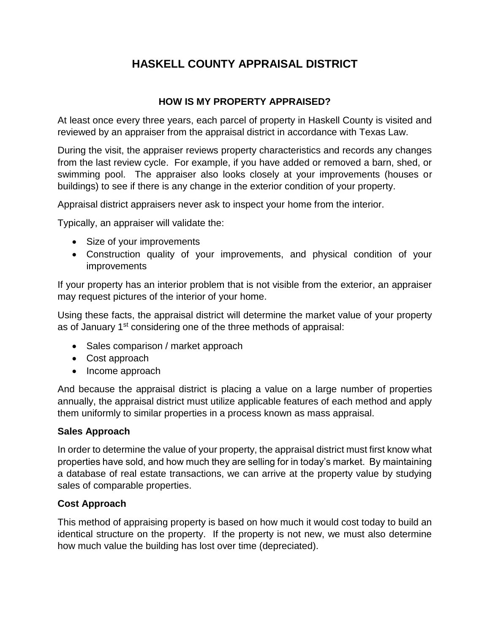# **HASKELL COUNTY APPRAISAL DISTRICT**

# **HOW IS MY PROPERTY APPRAISED?**

At least once every three years, each parcel of property in Haskell County is visited and reviewed by an appraiser from the appraisal district in accordance with Texas Law.

During the visit, the appraiser reviews property characteristics and records any changes from the last review cycle. For example, if you have added or removed a barn, shed, or swimming pool. The appraiser also looks closely at your improvements (houses or buildings) to see if there is any change in the exterior condition of your property.

Appraisal district appraisers never ask to inspect your home from the interior.

Typically, an appraiser will validate the:

- Size of your improvements
- Construction quality of your improvements, and physical condition of your improvements

If your property has an interior problem that is not visible from the exterior, an appraiser may request pictures of the interior of your home.

Using these facts, the appraisal district will determine the market value of your property as of January 1<sup>st</sup> considering one of the three methods of appraisal:

- Sales comparison / market approach
- Cost approach
- Income approach

And because the appraisal district is placing a value on a large number of properties annually, the appraisal district must utilize applicable features of each method and apply them uniformly to similar properties in a process known as mass appraisal.

#### **Sales Approach**

In order to determine the value of your property, the appraisal district must first know what properties have sold, and how much they are selling for in today's market. By maintaining a database of real estate transactions, we can arrive at the property value by studying sales of comparable properties.

## **Cost Approach**

This method of appraising property is based on how much it would cost today to build an identical structure on the property. If the property is not new, we must also determine how much value the building has lost over time (depreciated).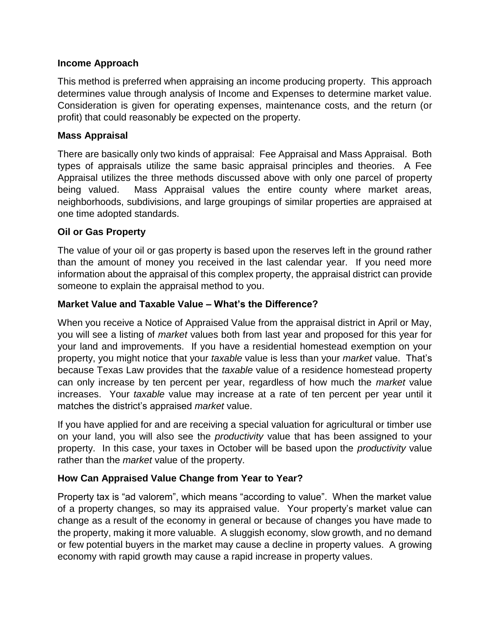## **Income Approach**

This method is preferred when appraising an income producing property. This approach determines value through analysis of Income and Expenses to determine market value. Consideration is given for operating expenses, maintenance costs, and the return (or profit) that could reasonably be expected on the property.

#### **Mass Appraisal**

There are basically only two kinds of appraisal: Fee Appraisal and Mass Appraisal. Both types of appraisals utilize the same basic appraisal principles and theories. A Fee Appraisal utilizes the three methods discussed above with only one parcel of property being valued. Mass Appraisal values the entire county where market areas, neighborhoods, subdivisions, and large groupings of similar properties are appraised at one time adopted standards.

## **Oil or Gas Property**

The value of your oil or gas property is based upon the reserves left in the ground rather than the amount of money you received in the last calendar year. If you need more information about the appraisal of this complex property, the appraisal district can provide someone to explain the appraisal method to you.

## **Market Value and Taxable Value – What's the Difference?**

When you receive a Notice of Appraised Value from the appraisal district in April or May, you will see a listing of *market* values both from last year and proposed for this year for your land and improvements. If you have a residential homestead exemption on your property, you might notice that your *taxable* value is less than your *market* value. That's because Texas Law provides that the *taxable* value of a residence homestead property can only increase by ten percent per year, regardless of how much the *market* value increases. Your *taxable* value may increase at a rate of ten percent per year until it matches the district's appraised *market* value.

If you have applied for and are receiving a special valuation for agricultural or timber use on your land, you will also see the *productivity* value that has been assigned to your property. In this case, your taxes in October will be based upon the *productivity* value rather than the *market* value of the property.

## **How Can Appraised Value Change from Year to Year?**

Property tax is "ad valorem", which means "according to value". When the market value of a property changes, so may its appraised value. Your property's market value can change as a result of the economy in general or because of changes you have made to the property, making it more valuable. A sluggish economy, slow growth, and no demand or few potential buyers in the market may cause a decline in property values. A growing economy with rapid growth may cause a rapid increase in property values.